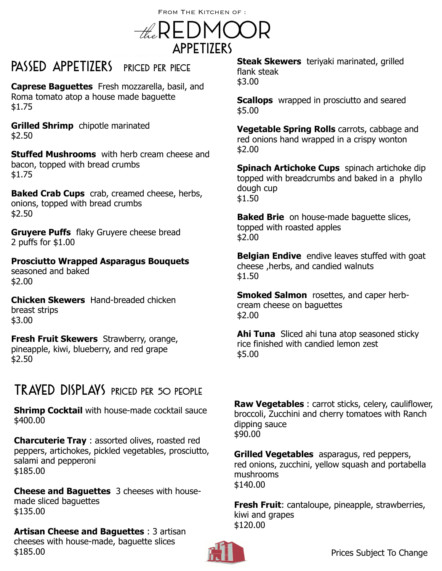FROM THE KITCHEN OF : the REDMOOR Appetizers

PASSED APPETIZERS PRICED PER PIECE

**Caprese Baguettes** Fresh mozzarella, basil, and Roma tomato atop a house made baguette \$1.75

**Grilled Shrimp** chipotle marinated \$2.50

**Stuffed Mushrooms** with herb cream cheese and bacon, topped with bread crumbs \$1.75

**Baked Crab Cups** crab, creamed cheese, herbs, onions, topped with bread crumbs \$2.50

**Gruyere Puffs** flaky Gruyere cheese bread 2 puffs for \$1.00

**Prosciutto Wrapped Asparagus Bouquets** seasoned and baked \$2.00

**Chicken Skewers** Hand-breaded chicken breast strips \$3.00

**Fresh Fruit Skewers** Strawberry, orange, pineapple, kiwi, blueberry, and red grape \$2.50

## Trayed Displays priced per 50 people

**Shrimp Cocktail** with house-made cocktail sauce \$400.00

**Charcuterie Tray** : assorted olives, roasted red peppers, artichokes, pickled vegetables, prosciutto, salami and pepperoni \$185.00

**Cheese and Baguettes** 3 cheeses with housemade sliced baguettes \$135.00

**Artisan Cheese and Baguettes** : 3 artisan cheeses with house-made, baguette slices \$185.00

**Steak Skewers** teriyaki marinated, grilled flank steak \$3.00

**Scallops** wrapped in prosciutto and seared \$5.00

**Vegetable Spring Rolls** carrots, cabbage and red onions hand wrapped in a crispy wonton \$2.00

**Spinach Artichoke Cups** spinach artichoke dip topped with breadcrumbs and baked in a phyllo dough cup \$1.50

**Baked Brie** on house-made baguette slices, topped with roasted apples \$2.00

**Belgian Endive** endive leaves stuffed with goat cheese ,herbs, and candied walnuts \$1.50

**Smoked Salmon** rosettes, and caper herbcream cheese on baguettes \$2.00

**Ahi Tuna** Sliced ahi tuna atop seasoned sticky rice finished with candied lemon zest \$5.00

**Raw Vegetables** : carrot sticks, celery, cauliflower, broccoli, Zucchini and cherry tomatoes with Ranch dipping sauce \$90.00

**Grilled Vegetables** asparagus, red peppers, red onions, zucchini, yellow squash and portabella mushrooms \$140.00

**Fresh Fruit**: cantaloupe, pineapple, strawberries, kiwi and grapes \$120.00

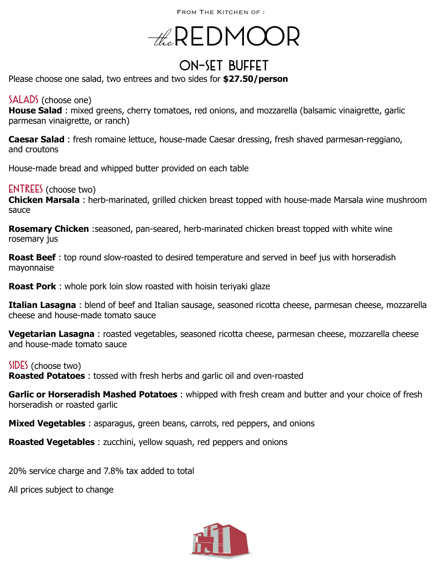FROM THE KITCHEN OF :

# $-\#$ REDMOC

## On-Set Buffet

Please choose one salad, two entrees and two sides for **\$27.50/person**

#### SALADS (choose one)

**House Salad** : mixed greens, cherry tomatoes, red onions, and mozzarella (balsamic vinaigrette, garlic parmesan vinaigrette, or ranch)

**Caesar Salad** : fresh romaine lettuce, house-made Caesar dressing, fresh shaved parmesan-reggiano, and croutons

House-made bread and whipped butter provided on each table

**ENTREES** (choose two)

**Chicken Marsala** : herb-marinated, grilled chicken breast topped with house-made Marsala wine mushroom sauce

**Rosemary Chicken** :seasoned, pan-seared, herb-marinated chicken breast topped with white wine rosemary jus

**Roast Beef** : top round slow-roasted to desired temperature and served in beef jus with horseradish mayonnaise

**Roast Pork** : whole pork loin slow roasted with hoisin teriyaki glaze

**Italian Lasagna** : blend of beef and Italian sausage, seasoned ricotta cheese, parmesan cheese, mozzarella cheese and house-made tomato sauce

**Vegetarian Lasagna** : roasted vegetables, seasoned ricotta cheese, parmesan cheese, mozzarella cheese and house-made tomato sauce

SIDES (choose two)

**Roasted Potatoes** : tossed with fresh herbs and garlic oil and oven-roasted

**Garlic or Horseradish Mashed Potatoes** : whipped with fresh cream and butter and your choice of fresh horseradish or roasted garlic

**Mixed Vegetables** : asparagus, green beans, carrots, red peppers, and onions

**Roasted Vegetables** : zucchini, yellow squash, red peppers and onions

20% service charge and 7.8% tax added to total

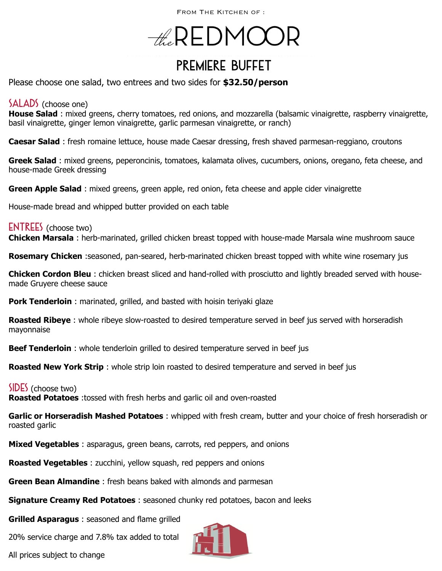FROM THE KITCHEN OF :

# $-\#$ REDMOC

## Premiere Buffet

Please choose one salad, two entrees and two sides for **\$32.50/person** 

#### SALADS (choose one)

**House Salad** : mixed greens, cherry tomatoes, red onions, and mozzarella (balsamic vinaigrette, raspberry vinaigrette, basil vinaigrette, ginger lemon vinaigrette, garlic parmesan vinaigrette, or ranch)

**Caesar Salad** : fresh romaine lettuce, house made Caesar dressing, fresh shaved parmesan-reggiano, croutons

**Greek Salad** : mixed greens, peperoncinis, tomatoes, kalamata olives, cucumbers, onions, oregano, feta cheese, and house-made Greek dressing

**Green Apple Salad** : mixed greens, green apple, red onion, feta cheese and apple cider vinaigrette

House-made bread and whipped butter provided on each table

#### **ENTREES** (choose two)

**Chicken Marsala** : herb-marinated, grilled chicken breast topped with house-made Marsala wine mushroom sauce

**Rosemary Chicken** :seasoned, pan-seared, herb-marinated chicken breast topped with white wine rosemary jus

**Chicken Cordon Bleu** : chicken breast sliced and hand-rolled with prosciutto and lightly breaded served with housemade Gruyere cheese sauce

**Pork Tenderloin**: marinated, grilled, and basted with hoisin teriyaki glaze

**Roasted Ribeye** : whole ribeye slow-roasted to desired temperature served in beef jus served with horseradish mayonnaise

**Beef Tenderloin** : whole tenderloin grilled to desired temperature served in beef jus

**Roasted New York Strip**: whole strip loin roasted to desired temperature and served in beef jus

#### $SIDES$  (choose two)

**Roasted Potatoes** :tossed with fresh herbs and garlic oil and oven-roasted

**Garlic or Horseradish Mashed Potatoes** : whipped with fresh cream, butter and your choice of fresh horseradish or roasted garlic

**Mixed Vegetables** : asparagus, green beans, carrots, red peppers, and onions

**Roasted Vegetables** : zucchini, yellow squash, red peppers and onions

**Green Bean Almandine** : fresh beans baked with almonds and parmesan

**Signature Creamy Red Potatoes** : seasoned chunky red potatoes, bacon and leeks

**Grilled Asparagus** : seasoned and flame grilled

20% service charge and 7.8% tax added to total

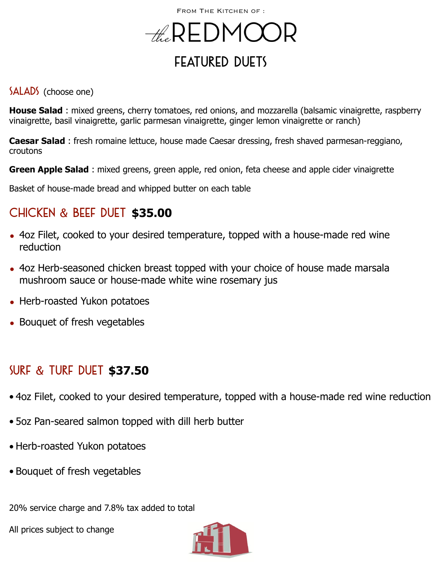## $-\#$ REDMOC FEATURED DUFTS

#### SALADS (choose one)

**House Salad** : mixed greens, cherry tomatoes, red onions, and mozzarella (balsamic vinaigrette, raspberry vinaigrette, basil vinaigrette, garlic parmesan vinaigrette, ginger lemon vinaigrette or ranch)

**Caesar Salad** : fresh romaine lettuce, house made Caesar dressing, fresh shaved parmesan-reggiano, croutons

**Green Apple Salad** : mixed greens, green apple, red onion, feta cheese and apple cider vinaigrette

Basket of house-made bread and whipped butter on each table

### Chicken & Beef Duet **\$35.00**

- 4oz Filet, cooked to your desired temperature, topped with a house-made red wine reduction
- 4oz Herb-seasoned chicken breast topped with your choice of house made marsala mushroom sauce or house-made white wine rosemary jus
- Herb-roasted Yukon potatoes
- Bouquet of fresh vegetables

### Surf & Turf Duet **\$37.50**

- 4oz Filet, cooked to your desired temperature, topped with a house-made red wine reduction
- 5oz Pan-seared salmon topped with dill herb butter
- Herb-roasted Yukon potatoes
- Bouquet of fresh vegetables

20% service charge and 7.8% tax added to total